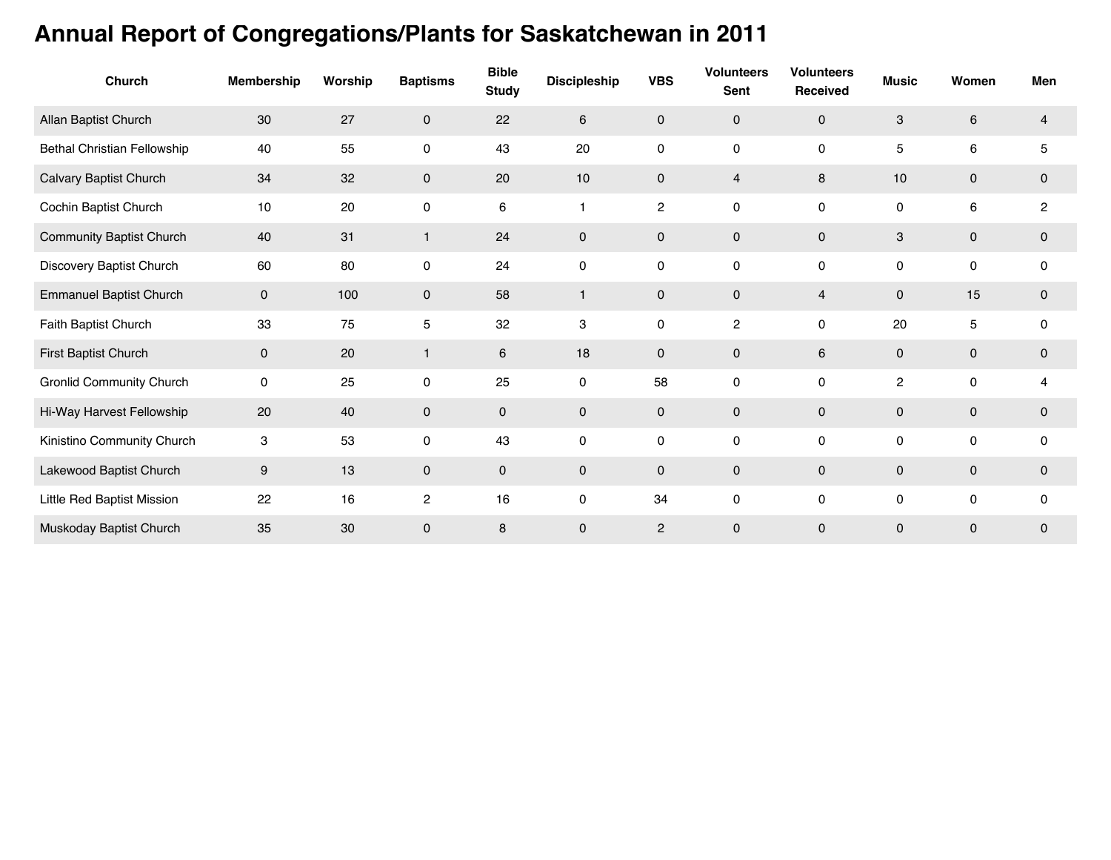## **Annual Report of Congregations/Plants for Saskatchewan in 2011**

| Church                          | Membership                | Worship | <b>Baptisms</b> | <b>Bible</b><br><b>Study</b> | <b>Discipleship</b> | <b>VBS</b>     | <b>Volunteers</b><br><b>Sent</b> | <b>Volunteers</b><br>Received | <b>Music</b> | Women       | Men            |
|---------------------------------|---------------------------|---------|-----------------|------------------------------|---------------------|----------------|----------------------------------|-------------------------------|--------------|-------------|----------------|
| Allan Baptist Church            | 30                        | 27      | 0               | 22                           | 6                   | $\mathbf 0$    | $\mathbf 0$                      | $\mathbf 0$                   | 3            | 6           | $\overline{4}$ |
| Bethal Christian Fellowship     | 40                        | 55      | 0               | 43                           | 20                  | 0              | 0                                | $\mathsf{O}\xspace$           | 5            | 6           | 5              |
| Calvary Baptist Church          | 34                        | 32      | 0               | 20                           | 10                  | $\mathbf 0$    | 4                                | 8                             | 10           | 0           | $\mathbf 0$    |
| Cochin Baptist Church           | 10                        | 20      | 0               | 6                            | $\mathbf{1}$        | $\overline{2}$ | 0                                | 0                             | 0            | 6           | $\overline{2}$ |
| <b>Community Baptist Church</b> | 40                        | 31      | 1               | 24                           | 0                   | $\mathbf{0}$   | $\pmb{0}$                        | $\mathbf 0$                   | 3            | 0           | $\mathbf 0$    |
| Discovery Baptist Church        | 60                        | 80      | 0               | 24                           | $\mathbf 0$         | 0              | 0                                | $\mathsf{O}\xspace$           | 0            | 0           | 0              |
| <b>Emmanuel Baptist Church</b>  | $\mathbf 0$               | 100     | 0               | 58                           | $\mathbf{1}$        | $\mathbf 0$    | $\mathbf 0$                      | $\overline{4}$                | 0            | 15          | $\mathbf 0$    |
| Faith Baptist Church            | 33                        | 75      | 5               | 32                           | 3                   | 0              | $\overline{c}$                   | 0                             | 20           | 5           | 0              |
| First Baptist Church            | $\mathbf 0$               | 20      | $\mathbf{1}$    | 6                            | 18                  | $\mathbf 0$    | 0                                | 6                             | 0            | 0           | $\mathbf 0$    |
| Gronlid Community Church        | $\mathsf{O}\xspace$       | 25      | 0               | 25                           | $\mathbf 0$         | 58             | 0                                | 0                             | 2            | 0           | 4              |
| Hi-Way Harvest Fellowship       | 20                        | 40      | $\mathbf{0}$    | $\mathbf 0$                  | $\mathbf 0$         | $\mathbf{0}$   | $\mathbf 0$                      | $\mathbf 0$                   | $\mathbf{0}$ | $\mathbf 0$ | $\mathbf 0$    |
| Kinistino Community Church      | $\ensuremath{\mathsf{3}}$ | 53      | 0               | 43                           | $\mathbf 0$         | 0              | 0                                | 0                             | 0            | 0           | 0              |
| Lakewood Baptist Church         | 9                         | 13      | 0               | $\mathbf 0$                  | $\mathbf 0$         | $\mathbf 0$    | 0                                | $\mathsf{O}\xspace$           | 0            | 0           | 0              |
| Little Red Baptist Mission      | 22                        | 16      | $\overline{c}$  | 16                           | $\mathbf 0$         | 34             | 0                                | $\mathsf 0$                   | 0            | 0           | 0              |
| Muskoday Baptist Church         | 35                        | 30      | 0               | 8                            | 0                   | $\overline{2}$ | 0                                | $\pmb{0}$                     | 0            | 0           | 0              |